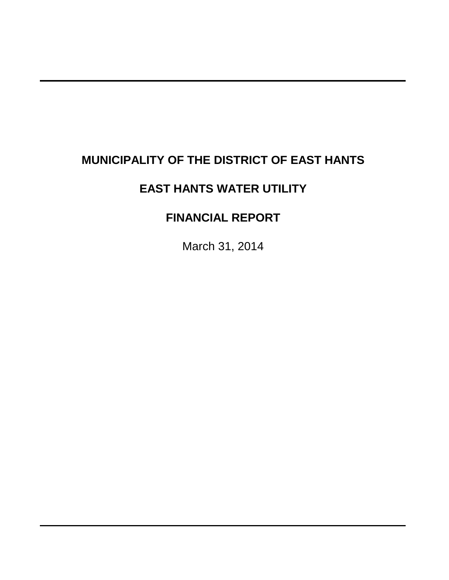# **MUNICIPALITY OF THE DISTRICT OF EAST HANTS**

# **EAST HANTS WATER UTILITY**

# **FINANCIAL REPORT**

March 31, 2014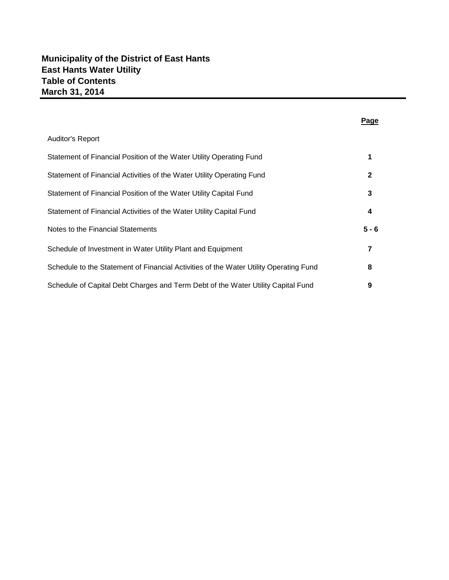| <b>Auditor's Report</b>                                                               |              |
|---------------------------------------------------------------------------------------|--------------|
| Statement of Financial Position of the Water Utility Operating Fund                   | 1            |
| Statement of Financial Activities of the Water Utility Operating Fund                 | $\mathbf{2}$ |
| Statement of Financial Position of the Water Utility Capital Fund                     | 3            |
| Statement of Financial Activities of the Water Utility Capital Fund                   | 4            |
| Notes to the Financial Statements                                                     | $5 - 6$      |
| Schedule of Investment in Water Utility Plant and Equipment                           | 7            |
| Schedule to the Statement of Financial Activities of the Water Utility Operating Fund | 8            |
| Schedule of Capital Debt Charges and Term Debt of the Water Utility Capital Fund      | 9            |

### **Page**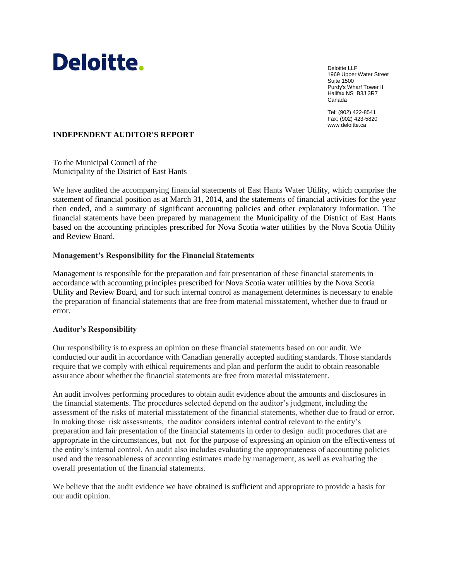

Deloitte LLP 1969 Upper Water Street Suite 1500 Purdy's Wharf Tower II Halifax NS B3J 3R7 Canada

Tel: (902) 422-8541 Fax: (902) 423-5820 www.deloitte.ca

## **INDEPENDENT AUDITOR'S REPORT**

To the Municipal Council of the Municipality of the District of East Hants

We have audited the accompanying financial statements of East Hants Water Utility, which comprise the statement of financial position as at March 31, 2014, and the statements of financial activities for the year then ended, and a summary of significant accounting policies and other explanatory information. The financial statements have been prepared by management the Municipality of the District of East Hants based on the accounting principles prescribed for Nova Scotia water utilities by the Nova Scotia Utility and Review Board.

## **Management's Responsibility for the Financial Statements**

Management is responsible for the preparation and fair presentation of these financial statements in accordance with accounting principles prescribed for Nova Scotia water utilities by the Nova Scotia Utility and Review Board, and for such internal control as management determines is necessary to enable the preparation of financial statements that are free from material misstatement, whether due to fraud or error.

## **Auditor's Responsibility**

Our responsibility is to express an opinion on these financial statements based on our audit. We conducted our audit in accordance with Canadian generally accepted auditing standards. Those standards require that we comply with ethical requirements and plan and perform the audit to obtain reasonable assurance about whether the financial statements are free from material misstatement.

An audit involves performing procedures to obtain audit evidence about the amounts and disclosures in the financial statements. The procedures selected depend on the auditor's judgment, including the assessment of the risks of material misstatement of the financial statements, whether due to fraud or error. In making those risk assessments, the auditor considers internal control relevant to the entity's preparation and fair presentation of the financial statements in order to design audit procedures that are appropriate in the circumstances, but not for the purpose of expressing an opinion on the effectiveness of the entity's internal control. An audit also includes evaluating the appropriateness of accounting policies used and the reasonableness of accounting estimates made by management, as well as evaluating the overall presentation of the financial statements.

We believe that the audit evidence we have obtained is sufficient and appropriate to provide a basis for our audit opinion.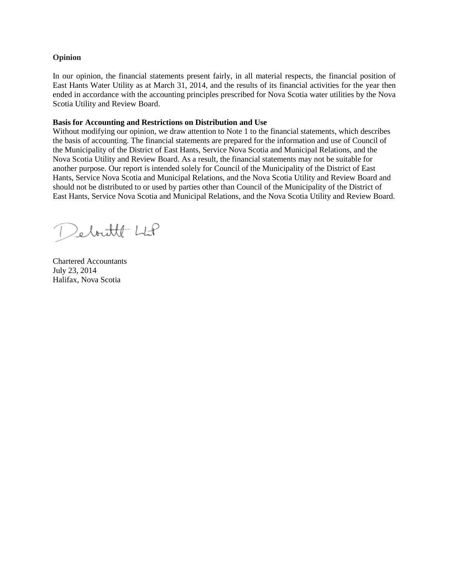### **Opinion**

In our opinion, the financial statements present fairly, in all material respects, the financial position of East Hants Water Utility as at March 31, 2014, and the results of its financial activities for the year then ended in accordance with the accounting principles prescribed for Nova Scotia water utilities by the Nova Scotia Utility and Review Board.

### **Basis for Accounting and Restrictions on Distribution and Use**

Without modifying our opinion, we draw attention to Note 1 to the financial statements, which describes the basis of accounting. The financial statements are prepared for the information and use of Council of the Municipality of the District of East Hants, Service Nova Scotia and Municipal Relations, and the Nova Scotia Utility and Review Board. As a result, the financial statements may not be suitable for another purpose. Our report is intended solely for Council of the Municipality of the District of East Hants, Service Nova Scotia and Municipal Relations, and the Nova Scotia Utility and Review Board and should not be distributed to or used by parties other than Council of the Municipality of the District of East Hants, Service Nova Scotia and Municipal Relations, and the Nova Scotia Utility and Review Board.

Deboutt LLP

Chartered Accountants July 23, 2014 Halifax, Nova Scotia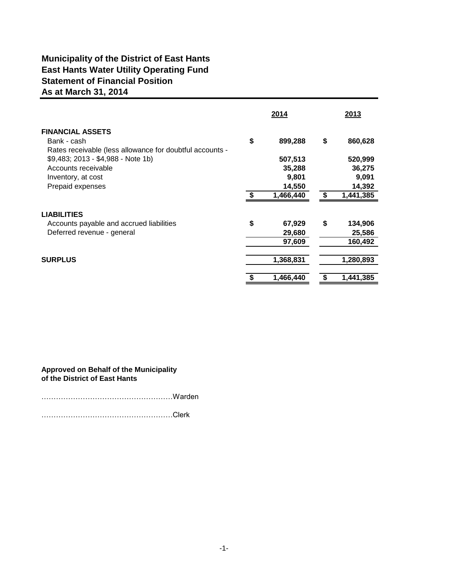# **Municipality of the District of East Hants East Hants Water Utility Operating Fund As at March 31, 2014 Statement of Financial Position**

|                                                                                                    | 2014                   | 2013                    |  |
|----------------------------------------------------------------------------------------------------|------------------------|-------------------------|--|
| <b>FINANCIAL ASSETS</b><br>Bank - cash<br>Rates receivable (less allowance for doubtful accounts - | \$<br>899,288          | \$<br>860,628           |  |
| $$9,483; 2013 - $4,988 - Note 1b)$                                                                 | 507,513                | 520,999                 |  |
| Accounts receivable<br>Inventory, at cost                                                          | 35,288<br>9,801        | 36,275<br>9,091         |  |
| Prepaid expenses                                                                                   | 14,550<br>1,466,440    | 14,392<br>1,441,385     |  |
| <b>LIABILITIES</b>                                                                                 |                        |                         |  |
| Accounts payable and accrued liabilities<br>Deferred revenue - general                             | \$<br>67,929<br>29,680 | \$<br>134,906<br>25,586 |  |
|                                                                                                    | 97,609                 | 160,492                 |  |
| <b>SURPLUS</b>                                                                                     | 1,368,831              | 1,280,893               |  |
|                                                                                                    | 1,466,440              | 1,441,385               |  |

**Approved on Behalf of the Municipality of the District of East Hants**

………………………………………………Warden

………………………………………………Clerk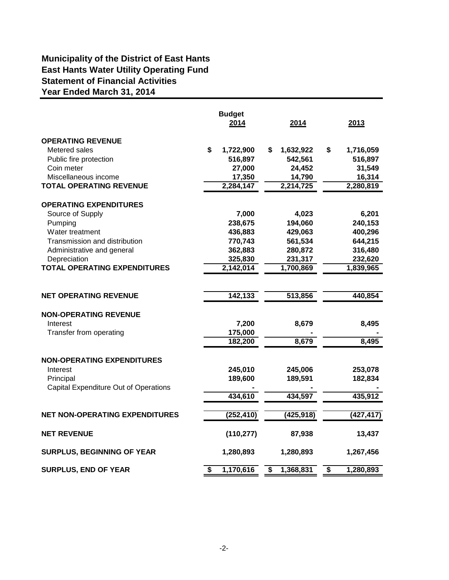# **Municipality of the District of East Hants East Hants Water Utility Operating Fund Year Ended March 31, 2014 Statement of Financial Activities**

|                                       | <b>Budget</b><br>2014 | 2014                   |                 | 2013       |
|---------------------------------------|-----------------------|------------------------|-----------------|------------|
| <b>OPERATING REVENUE</b>              |                       |                        |                 |            |
| Metered sales                         | \$<br>1,722,900       | \$<br>1,632,922        | \$              | 1,716,059  |
| Public fire protection                | 516,897               | 542,561                |                 | 516,897    |
| Coin meter                            | 27,000                | 24,452                 |                 | 31,549     |
| Miscellaneous income                  | 17,350                | 14,790                 |                 | 16,314     |
| <b>TOTAL OPERATING REVENUE</b>        | 2,284,147             | 2,214,725              |                 | 2,280,819  |
| <b>OPERATING EXPENDITURES</b>         |                       |                        |                 |            |
| Source of Supply                      | 7,000                 | 4,023                  |                 | 6,201      |
| Pumping                               | 238,675               | 194,060                |                 | 240,153    |
| Water treatment                       | 436,883               | 429,063                |                 | 400,296    |
| Transmission and distribution         | 770,743               | 561,534                |                 | 644,215    |
| Administrative and general            | 362,883               | 280,872                |                 | 316,480    |
| Depreciation                          | 325,830               | 231,317                |                 | 232,620    |
| <b>TOTAL OPERATING EXPENDITURES</b>   | 2,142,014             | 1,700,869              |                 | 1,839,965  |
|                                       |                       |                        |                 |            |
| <b>NET OPERATING REVENUE</b>          | 142,133               | 513,856                |                 | 440,854    |
| <b>NON-OPERATING REVENUE</b>          |                       |                        |                 |            |
| Interest                              | 7,200                 | 8,679                  |                 | 8,495      |
| Transfer from operating               | 175,000               |                        |                 |            |
|                                       | 182,200               | 8,679                  |                 | 8,495      |
| <b>NON-OPERATING EXPENDITURES</b>     |                       |                        |                 |            |
| Interest                              | 245,010               | 245,006                |                 | 253,078    |
| Principal                             | 189,600               | 189,591                |                 | 182,834    |
| Capital Expenditure Out of Operations |                       |                        |                 |            |
|                                       | 434,610               | 434,597                |                 | 435,912    |
| <b>NET NON-OPERATING EXPENDITURES</b> | (252, 410)            | $\overline{(425,918)}$ |                 | (427, 417) |
| <b>NET REVENUE</b>                    | (110, 277)            | 87,938                 |                 | 13,437     |
| <b>SURPLUS, BEGINNING OF YEAR</b>     | 1,280,893             | 1,280,893              |                 | 1,267,456  |
| <b>SURPLUS, END OF YEAR</b>           | \$<br>1,170,616       | \$<br>1,368,831        | $\overline{\$}$ | 1,280,893  |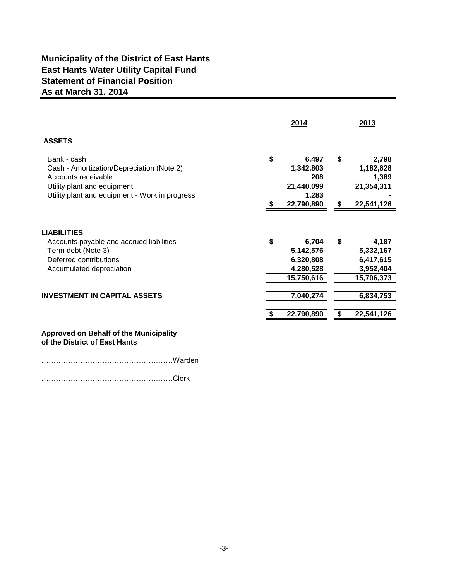# **Municipality of the District of East Hants East Hants Water Utility Capital Fund As at March 31, 2014 Statement of Financial Position**

|                                                                                                                                                                  |          | 2014                                                           |         | 2013                                                       |
|------------------------------------------------------------------------------------------------------------------------------------------------------------------|----------|----------------------------------------------------------------|---------|------------------------------------------------------------|
| <b>ASSETS</b>                                                                                                                                                    |          |                                                                |         |                                                            |
| Bank - cash<br>Cash - Amortization/Depreciation (Note 2)<br>Accounts receivable<br>Utility plant and equipment<br>Utility plant and equipment - Work in progress | \$<br>π. | 6,497<br>1,342,803<br>208<br>21,440,099<br>1,283<br>22,790,890 | \$<br>S | 2,798<br>1,182,628<br>1,389<br>21,354,311<br>22,541,126    |
| <b>LIABILITIES</b>                                                                                                                                               |          |                                                                |         |                                                            |
| Accounts payable and accrued liabilities<br>Term debt (Note 3)<br>Deferred contributions<br>Accumulated depreciation                                             | \$       | 6,704<br>5,142,576<br>6,320,808<br>4,280,528<br>15,750,616     | \$      | 4,187<br>5,332,167<br>6,417,615<br>3,952,404<br>15,706,373 |
| <b>INVESTMENT IN CAPITAL ASSETS</b>                                                                                                                              |          | 7,040,274                                                      |         | 6,834,753                                                  |
|                                                                                                                                                                  | S        | 22,790,890                                                     | S       | 22,541,126                                                 |

# **Approved on Behalf of the Municipality of the District of East Hants**

………………………………………………Warden ………………………………………………Clerk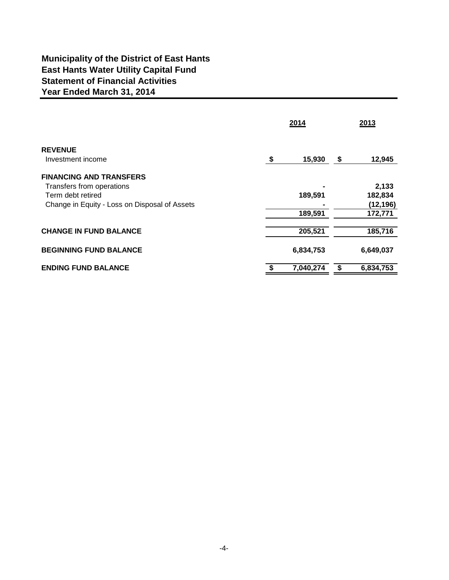# **Municipality of the District of East Hants East Hants Water Utility Capital Fund Year Ended March 31, 2014 Statement of Financial Activities**

|                                                                    | 2014               | 2013                            |
|--------------------------------------------------------------------|--------------------|---------------------------------|
| <b>REVENUE</b><br>Investment income                                | 15,930<br>\$       | \$<br>12,945                    |
| <b>FINANCING AND TRANSFERS</b><br>Transfers from operations        |                    | 2,133                           |
| Term debt retired<br>Change in Equity - Loss on Disposal of Assets | 189,591<br>189,591 | 182,834<br>(12, 196)<br>172,771 |
| <b>CHANGE IN FUND BALANCE</b>                                      | 205,521            | 185,716                         |
| <b>BEGINNING FUND BALANCE</b>                                      | 6,834,753          | 6,649,037                       |
| <b>ENDING FUND BALANCE</b>                                         | 7,040,274          | 6,834,753<br>\$                 |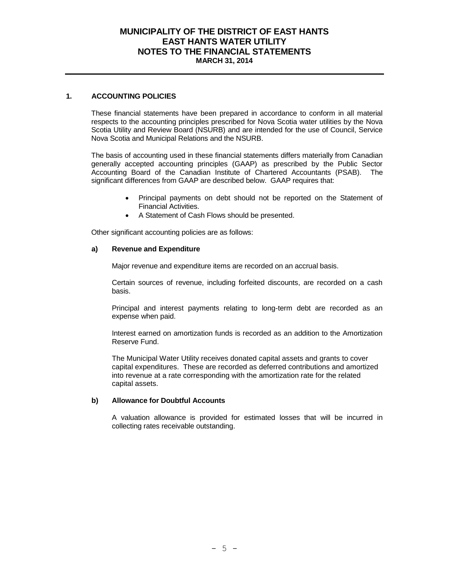## **MUNICIPALITY OF THE DISTRICT OF EAST HANTS EAST HANTS WATER UTILITY NOTES TO THE FINANCIAL STATEMENTS MARCH 31, 2014**

## **1. ACCOUNTING POLICIES**

These financial statements have been prepared in accordance to conform in all material respects to the accounting principles prescribed for Nova Scotia water utilities by the Nova Scotia Utility and Review Board (NSURB) and are intended for the use of Council, Service Nova Scotia and Municipal Relations and the NSURB.

The basis of accounting used in these financial statements differs materially from Canadian generally accepted accounting principles (GAAP) as prescribed by the Public Sector Accounting Board of the Canadian Institute of Chartered Accountants (PSAB). The significant differences from GAAP are described below. GAAP requires that:

- Principal payments on debt should not be reported on the Statement of Financial Activities.
- A Statement of Cash Flows should be presented.

Other significant accounting policies are as follows:

#### **a) Revenue and Expenditure**

Major revenue and expenditure items are recorded on an accrual basis.

Certain sources of revenue, including forfeited discounts, are recorded on a cash basis.

Principal and interest payments relating to long-term debt are recorded as an expense when paid.

Interest earned on amortization funds is recorded as an addition to the Amortization Reserve Fund.

The Municipal Water Utility receives donated capital assets and grants to cover capital expenditures. These are recorded as deferred contributions and amortized into revenue at a rate corresponding with the amortization rate for the related capital assets.

#### **b) Allowance for Doubtful Accounts**

A valuation allowance is provided for estimated losses that will be incurred in collecting rates receivable outstanding.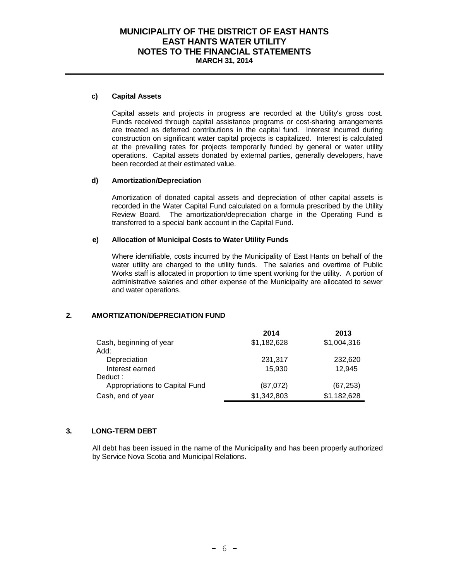## **MUNICIPALITY OF THE DISTRICT OF EAST HANTS EAST HANTS WATER UTILITY NOTES TO THE FINANCIAL STATEMENTS MARCH 31, 2014**

## **c) Capital Assets**

Capital assets and projects in progress are recorded at the Utility's gross cost. Funds received through capital assistance programs or cost-sharing arrangements are treated as deferred contributions in the capital fund. Interest incurred during construction on significant water capital projects is capitalized. Interest is calculated at the prevailing rates for projects temporarily funded by general or water utility operations. Capital assets donated by external parties, generally developers, have been recorded at their estimated value.

#### **d) Amortization/Depreciation**

Amortization of donated capital assets and depreciation of other capital assets is recorded in the Water Capital Fund calculated on a formula prescribed by the Utility Review Board. The amortization/depreciation charge in the Operating Fund is transferred to a special bank account in the Capital Fund.

#### **e) Allocation of Municipal Costs to Water Utility Funds**

Where identifiable, costs incurred by the Municipality of East Hants on behalf of the water utility are charged to the utility funds. The salaries and overtime of Public Works staff is allocated in proportion to time spent working for the utility. A portion of administrative salaries and other expense of the Municipality are allocated to sewer and water operations.

### **2. AMORTIZATION/DEPRECIATION FUND**

|                                | 2014        | 2013        |
|--------------------------------|-------------|-------------|
| Cash, beginning of year        | \$1,182,628 | \$1,004,316 |
| Add:                           |             |             |
| Depreciation                   | 231,317     | 232,620     |
| Interest earned                | 15.930      | 12,945      |
| Deduct :                       |             |             |
| Appropriations to Capital Fund | (87,072)    | (67,253)    |
| Cash, end of year              | \$1,342,803 | \$1,182,628 |

## **3. LONG-TERM DEBT**

All debt has been issued in the name of the Municipality and has been properly authorized by Service Nova Scotia and Municipal Relations.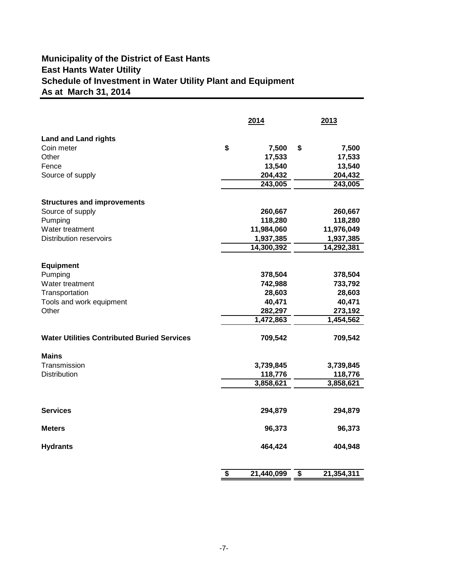# **Municipality of the District of East Hants East Hants Water Utility As at March 31, 2014 Schedule of Investment in Water Utility Plant and Equipment**

|                                                    |                                      | 2014       | 2013 |            |  |
|----------------------------------------------------|--------------------------------------|------------|------|------------|--|
| <b>Land and Land rights</b>                        |                                      |            |      |            |  |
| Coin meter                                         | \$                                   | 7,500      | \$   | 7,500      |  |
| Other                                              |                                      | 17,533     |      | 17,533     |  |
| Fence                                              |                                      | 13,540     |      | 13,540     |  |
| Source of supply                                   |                                      | 204,432    |      | 204,432    |  |
|                                                    |                                      | 243,005    |      | 243,005    |  |
|                                                    |                                      |            |      |            |  |
| <b>Structures and improvements</b>                 |                                      |            |      |            |  |
| Source of supply                                   |                                      | 260,667    |      | 260,667    |  |
| Pumping                                            |                                      | 118,280    |      | 118,280    |  |
| Water treatment                                    |                                      | 11,984,060 |      | 11,976,049 |  |
| <b>Distribution reservoirs</b>                     |                                      | 1,937,385  |      | 1,937,385  |  |
|                                                    |                                      | 14,300,392 |      | 14,292,381 |  |
|                                                    |                                      |            |      |            |  |
| <b>Equipment</b><br>Pumping                        |                                      | 378,504    |      | 378,504    |  |
| Water treatment                                    |                                      | 742,988    |      | 733,792    |  |
| Transportation                                     |                                      | 28,603     |      | 28,603     |  |
| Tools and work equipment                           |                                      | 40,471     |      | 40,471     |  |
| Other                                              |                                      | 282,297    |      | 273,192    |  |
|                                                    |                                      | 1,472,863  |      | 1,454,562  |  |
|                                                    |                                      |            |      |            |  |
| <b>Water Utilities Contributed Buried Services</b> |                                      | 709,542    |      | 709,542    |  |
| <b>Mains</b>                                       |                                      |            |      |            |  |
| Transmission                                       |                                      | 3,739,845  |      | 3,739,845  |  |
| <b>Distribution</b>                                |                                      | 118,776    |      | 118,776    |  |
|                                                    |                                      | 3,858,621  |      | 3,858,621  |  |
|                                                    |                                      |            |      |            |  |
| <b>Services</b>                                    |                                      | 294,879    |      | 294,879    |  |
| <b>Meters</b>                                      |                                      | 96,373     |      | 96,373     |  |
|                                                    |                                      |            |      |            |  |
| <b>Hydrants</b>                                    |                                      | 464,424    |      | 404,948    |  |
|                                                    |                                      |            |      |            |  |
|                                                    | $\overline{\boldsymbol{\mathsf{s}}}$ | 21,440,099 | \$   | 21,354,311 |  |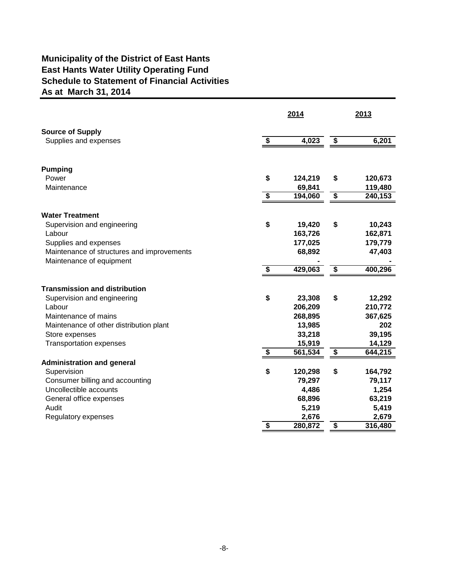# **Municipality of the District of East Hants East Hants Water Utility Operating Fund As at March 31, 2014 Schedule to Statement of Financial Activities**

|                                            |                      | 2014    | 2013                 |         |  |
|--------------------------------------------|----------------------|---------|----------------------|---------|--|
| <b>Source of Supply</b>                    |                      |         |                      |         |  |
| Supplies and expenses                      | \$                   | 4,023   | \$                   | 6,201   |  |
| <b>Pumping</b>                             |                      |         |                      |         |  |
| Power                                      | \$                   | 124,219 | \$                   | 120,673 |  |
| Maintenance                                |                      | 69,841  |                      | 119,480 |  |
|                                            | \$                   | 194,060 | $\overline{\bullet}$ | 240,153 |  |
| <b>Water Treatment</b>                     |                      |         |                      |         |  |
| Supervision and engineering                | \$                   | 19,420  | \$                   | 10,243  |  |
| Labour                                     |                      | 163,726 |                      | 162,871 |  |
| Supplies and expenses                      |                      | 177,025 |                      | 179,779 |  |
| Maintenance of structures and improvements |                      | 68,892  |                      | 47,403  |  |
| Maintenance of equipment                   |                      |         |                      |         |  |
|                                            | \$                   | 429,063 | \$                   | 400,296 |  |
| <b>Transmission and distribution</b>       |                      |         |                      |         |  |
| Supervision and engineering                | \$                   | 23,308  | \$                   | 12,292  |  |
| Labour                                     |                      | 206,209 |                      | 210,772 |  |
| Maintenance of mains                       |                      | 268,895 |                      | 367,625 |  |
| Maintenance of other distribution plant    |                      | 13,985  |                      | 202     |  |
| Store expenses                             |                      | 33,218  |                      | 39,195  |  |
| <b>Transportation expenses</b>             |                      | 15,919  |                      | 14,129  |  |
|                                            | \$                   | 561,534 | \$                   | 644,215 |  |
| <b>Administration and general</b>          |                      |         |                      |         |  |
| Supervision                                | \$                   | 120,298 | \$                   | 164,792 |  |
| Consumer billing and accounting            |                      | 79,297  |                      | 79,117  |  |
| Uncollectible accounts                     |                      | 4,486   |                      | 1,254   |  |
| General office expenses                    |                      | 68,896  |                      | 63,219  |  |
| Audit                                      |                      | 5,219   |                      | 5,419   |  |
| Regulatory expenses                        |                      | 2,676   |                      | 2,679   |  |
|                                            | $\overline{\bullet}$ | 280,872 | $\overline{\bullet}$ | 316,480 |  |